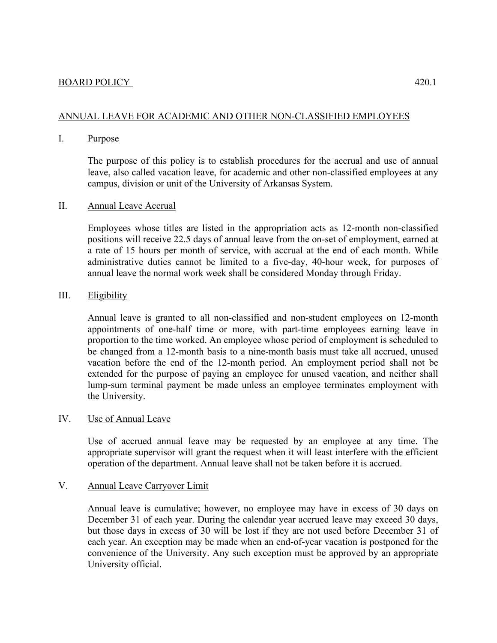# ANNUAL LEAVE FOR ACADEMIC AND OTHER NON-CLASSIFIED EMPLOYEES

## I. Purpose

The purpose of this policy is to establish procedures for the accrual and use of annual leave, also called vacation leave, for academic and other non-classified employees at any campus, division or unit of the University of Arkansas System.

# II. Annual Leave Accrual

Employees whose titles are listed in the appropriation acts as 12-month non-classified positions will receive 22.5 days of annual leave from the on-set of employment, earned at a rate of 15 hours per month of service, with accrual at the end of each month. While administrative duties cannot be limited to a five-day, 40-hour week, for purposes of annual leave the normal work week shall be considered Monday through Friday.

## III. Eligibility

Annual leave is granted to all non-classified and non-student employees on 12-month appointments of one-half time or more, with part-time employees earning leave in proportion to the time worked. An employee whose period of employment is scheduled to be changed from a 12-month basis to a nine-month basis must take all accrued, unused vacation before the end of the 12-month period. An employment period shall not be extended for the purpose of paying an employee for unused vacation, and neither shall lump-sum terminal payment be made unless an employee terminates employment with the University.

#### IV. Use of Annual Leave

Use of accrued annual leave may be requested by an employee at any time. The appropriate supervisor will grant the request when it will least interfere with the efficient operation of the department. Annual leave shall not be taken before it is accrued.

# V. Annual Leave Carryover Limit

Annual leave is cumulative; however, no employee may have in excess of 30 days on December 31 of each year. During the calendar year accrued leave may exceed 30 days, but those days in excess of 30 will be lost if they are not used before December 31 of each year. An exception may be made when an end-of-year vacation is postponed for the convenience of the University. Any such exception must be approved by an appropriate University official.